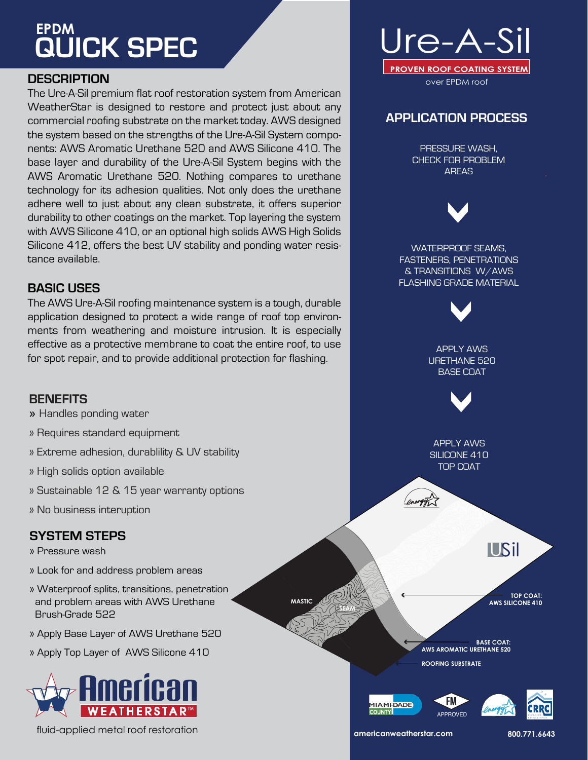# **QUICK SPEC EPDM**

# **DESCRIPTION**

The Ure-A-Sil premium flat roof restoration system from American WeatherStar is designed to restore and protect just about any commercial roofing substrate on the market today. AWS designed the system based on the strengths of the Ure-A-Sil System components: AWS Aromatic Urethane 520 and AWS Silicone 410. The base layer and durability of the Ure-A-Sil System begins with the AWS Aromatic Urethane 520. Nothing compares to urethane technology for its adhesion qualities. Not only does the urethane adhere well to just about any clean substrate, it offers superior durability to other coatings on the market. Top layering the system with AWS Silicone 410, or an optional high solids AWS High Solids Silicone 412, offers the best UV stability and ponding water resistance available.

# **BASIC USES**

The AWS Ure-A-Sil roofing maintenance system is a tough, durable application designed to protect a wide range of roof top environments from weathering and moisture intrusion. It is especially effective as a protective membrane to coat the entire roof, to use for spot repair, and to provide additional protection for flashing.

### **BENEFITS**

- » Handles ponding water
- » Requires standard equipment
- » Extreme adhesion, durablility & UV stability
- » High solids option available
- » Sustainable 12 & 15 year warranty options
- » No business interuption

# **SYSTEM STEPS**

- » Pressure wash
- » Look for and address problem areas
- » Waterproof splits, transitions, penetration and problem areas with AWS Urethane Brush-Grade 522
- » Apply Base Layer of AWS Urethane 520
- » Apply Top Layer of AWS Silicone 410



**americanweatherstar.com 800.771.6643** fluid-applied metal roof restoration



# **APPLICATION PROCESS**

PRESSURE WASH, CHECK FOR PROBLEM AREAS

WATERPROOF SEAMS, FASTENERS, PENETRATIONS & TRANSITIONS W/AWS FLASHING GRADE MATERIAL

APPLY AWS URETHANE 520 BASE COAT



APPLY AWS SILICONE 410 TOP COAT

USil

**TOP COAT: AWS SILICONE 410** 

**BASE COAT: AWS AROMATIC URETHANE 520 ROOFING SUBSTRATE**



**MASTIC**

**SEAM**